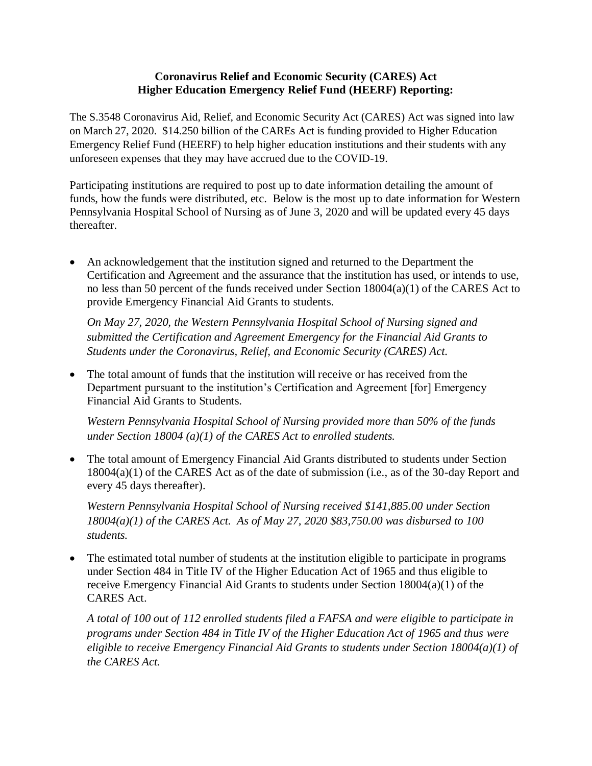## **Coronavirus Relief and Economic Security (CARES) Act Higher Education Emergency Relief Fund (HEERF) Reporting:**

The S.3548 Coronavirus Aid, Relief, and Economic Security Act (CARES) Act was signed into law on March 27, 2020. \$14.250 billion of the CAREs Act is funding provided to Higher Education Emergency Relief Fund (HEERF) to help higher education institutions and their students with any unforeseen expenses that they may have accrued due to the COVID-19.

Participating institutions are required to post up to date information detailing the amount of funds, how the funds were distributed, etc. Below is the most up to date information for Western Pennsylvania Hospital School of Nursing as of June 3, 2020 and will be updated every 45 days thereafter.

 An acknowledgement that the institution signed and returned to the Department the Certification and Agreement and the assurance that the institution has used, or intends to use, no less than 50 percent of the funds received under Section 18004(a)(1) of the CARES Act to provide Emergency Financial Aid Grants to students.

*On May 27, 2020, the Western Pennsylvania Hospital School of Nursing signed and submitted the Certification and Agreement Emergency for the Financial Aid Grants to Students under the Coronavirus, Relief, and Economic Security (CARES) Act.* 

 The total amount of funds that the institution will receive or has received from the Department pursuant to the institution's Certification and Agreement [for] Emergency Financial Aid Grants to Students.

*Western Pennsylvania Hospital School of Nursing provided more than 50% of the funds under Section 18004 (a)(1) of the CARES Act to enrolled students.* 

• The total amount of Emergency Financial Aid Grants distributed to students under Section 18004(a)(1) of the CARES Act as of the date of submission (i.e., as of the 30-day Report and every 45 days thereafter).

*Western Pennsylvania Hospital School of Nursing received \$141,885.00 under Section 18004(a)(1) of the CARES Act. As of May 27, 2020 \$83,750.00 was disbursed to 100 students.* 

 The estimated total number of students at the institution eligible to participate in programs under Section 484 in Title IV of the Higher Education Act of 1965 and thus eligible to receive Emergency Financial Aid Grants to students under Section 18004(a)(1) of the CARES Act.

*A total of 100 out of 112 enrolled students filed a FAFSA and were eligible to participate in programs under Section 484 in Title IV of the Higher Education Act of 1965 and thus were eligible to receive Emergency Financial Aid Grants to students under Section 18004(a)(1) of the CARES Act.*